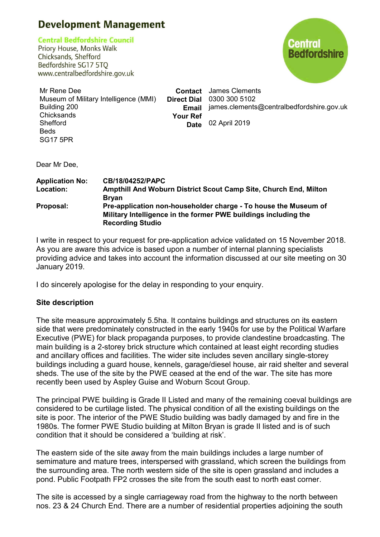# **Development Management**

**Central Bedfordshire Council** 

Priory House, Monks Walk Chicksands, Shefford Bedfordshire SG17 5TO www.centralbedfordshire.gov.uk



Mr Rene Dee Museum of Military Intelligence (MMI) Building 200 **Chicksands** Shefford Beds **Contact** James Clements **Direct Dial** 0300 300 5102 **Email** james.clements@centralbedfordshire.gov.uk **Your Ref Date** 02 April 2019

Dear Mr Dee,

SG17 5PR

| <b>Application No:</b> | <b>CB/18/04252/PAPC</b>                                          |
|------------------------|------------------------------------------------------------------|
| Location:              | Ampthill And Woburn District Scout Camp Site, Church End, Milton |
|                        | <b>Bryan</b>                                                     |
| Proposal:              | Pre-application non-householder charge - To house the Museum of  |
|                        | Military Intelligence in the former PWE buildings including the  |
|                        | <b>Recording Studio</b>                                          |

I write in respect to your request for pre-application advice validated on 15 November 2018. As you are aware this advice is based upon a number of internal planning specialists providing advice and takes into account the information discussed at our site meeting on 30 January 2019.

I do sincerely apologise for the delay in responding to your enquiry.

# **Site description**

The site measure approximately 5.5ha. It contains buildings and structures on its eastern side that were predominately constructed in the early 1940s for use by the Political Warfare Executive (PWE) for black propaganda purposes, to provide clandestine broadcasting. The main building is a 2-storey brick structure which contained at least eight recording studies and ancillary offices and facilities. The wider site includes seven ancillary single-storey buildings including a guard house, kennels, garage/diesel house, air raid shelter and several sheds. The use of the site by the PWE ceased at the end of the war. The site has more recently been used by Aspley Guise and Woburn Scout Group.

The principal PWE building is Grade II Listed and many of the remaining coeval buildings are considered to be curtilage listed. The physical condition of all the existing buildings on the site is poor. The interior of the PWE Studio building was badly damaged by and fire in the 1980s. The former PWE Studio building at Milton Bryan is grade II listed and is of such condition that it should be considered a 'building at risk'.

The eastern side of the site away from the main buildings includes a large number of semimature and mature trees, interspersed with grassland, which screen the buildings from the surrounding area. The north western side of the site is open grassland and includes a pond. Public Footpath FP2 crosses the site from the south east to north east corner.

The site is accessed by a single carriageway road from the highway to the north between nos. 23 & 24 Church End. There are a number of residential properties adjoining the south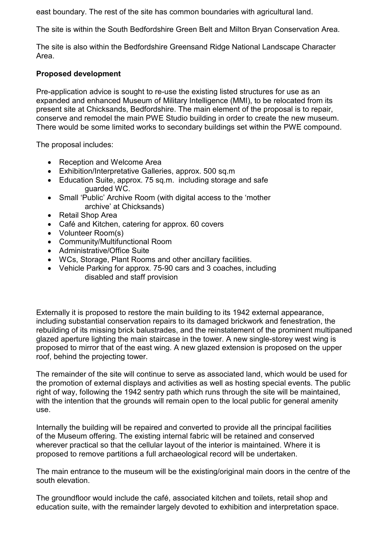east boundary. The rest of the site has common boundaries with agricultural land.

The site is within the South Bedfordshire Green Belt and Milton Bryan Conservation Area.

The site is also within the Bedfordshire Greensand Ridge National Landscape Character Area.

# **Proposed development**

Pre-application advice is sought to re-use the existing listed structures for use as an expanded and enhanced Museum of Military Intelligence (MMI), to be relocated from its present site at Chicksands, Bedfordshire. The main element of the proposal is to repair, conserve and remodel the main PWE Studio building in order to create the new museum. There would be some limited works to secondary buildings set within the PWE compound.

The proposal includes:

- Reception and Welcome Area
- Exhibition/Interpretative Galleries, approx, 500 sq.m.
- Education Suite, approx. 75 sq.m. including storage and safe guarded WC.
- · Small 'Public' Archive Room (with digital access to the 'mother archive' at Chicksands)
- · Retail Shop Area
- · Café and Kitchen, catering for approx. 60 covers
- Volunteer Room(s)
- · Community/Multifunctional Room
- · Administrative/Office Suite
- · WCs, Storage, Plant Rooms and other ancillary facilities.
- Vehicle Parking for approx. 75-90 cars and 3 coaches, including disabled and staff provision

Externally it is proposed to restore the main building to its 1942 external appearance, including substantial conservation repairs to its damaged brickwork and fenestration, the rebuilding of its missing brick balustrades, and the reinstatement of the prominent multipaned glazed aperture lighting the main staircase in the tower. A new single-storey west wing is proposed to mirror that of the east wing. A new glazed extension is proposed on the upper roof, behind the projecting tower.

The remainder of the site will continue to serve as associated land, which would be used for the promotion of external displays and activities as well as hosting special events. The public right of way, following the 1942 sentry path which runs through the site will be maintained, with the intention that the grounds will remain open to the local public for general amenity use.

Internally the building will be repaired and converted to provide all the principal facilities of the Museum offering. The existing internal fabric will be retained and conserved wherever practical so that the cellular layout of the interior is maintained. Where it is proposed to remove partitions a full archaeological record will be undertaken.

The main entrance to the museum will be the existing/original main doors in the centre of the south elevation.

The groundfloor would include the café, associated kitchen and toilets, retail shop and education suite, with the remainder largely devoted to exhibition and interpretation space.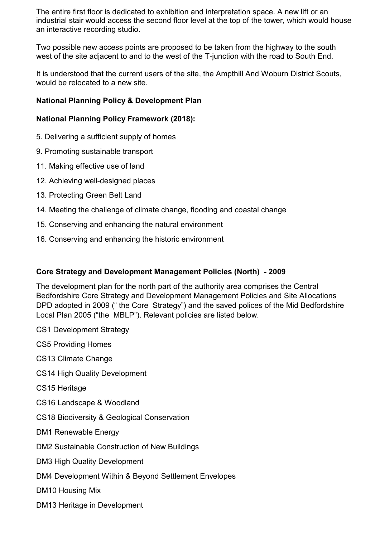The entire first floor is dedicated to exhibition and interpretation space. A new lift or an industrial stair would access the second floor level at the top of the tower, which would house an interactive recording studio.

Two possible new access points are proposed to be taken from the highway to the south west of the site adjacent to and to the west of the T-junction with the road to South End.

It is understood that the current users of the site, the Ampthill And Woburn District Scouts, would be relocated to a new site.

# **National Planning Policy & Development Plan**

# **National Planning Policy Framework (2018):**

- 5. Delivering a sufficient supply of homes
- 9. Promoting sustainable transport
- 11. Making effective use of land
- 12. Achieving well-designed places
- 13. Protecting Green Belt Land
- 14. Meeting the challenge of climate change, flooding and coastal change
- 15. Conserving and enhancing the natural environment
- 16. Conserving and enhancing the historic environment

# **Core Strategy and Development Management Policies (North) - 2009**

The development plan for the north part of the authority area comprises the Central Bedfordshire Core Strategy and Development Management Policies and Site Allocations DPD adopted in 2009 (" the Core Strategy") and the saved polices of the Mid Bedfordshire Local Plan 2005 ("the MBLP"). Relevant policies are listed below.

CS1 Development Strategy

CS5 Providing Homes

CS13 Climate Change

CS14 High Quality Development

CS15 Heritage

CS16 Landscape & Woodland

CS18 Biodiversity & Geological Conservation

DM1 Renewable Energy

DM2 Sustainable Construction of New Buildings

DM3 High Quality Development

DM4 Development Within & Beyond Settlement Envelopes

DM10 Housing Mix

DM13 Heritage in Development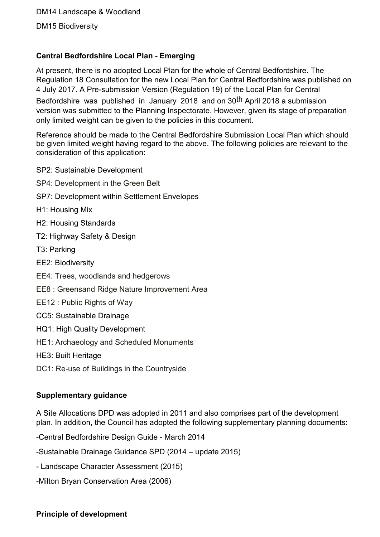DM15 Biodiversity

# **Central Bedfordshire Local Plan - Emerging**

At present, there is no adopted Local Plan for the whole of Central Bedfordshire. The Regulation 18 Consultation for the new Local Plan for Central Bedfordshire was published on 4 July 2017. A Pre-submission Version (Regulation 19) of the Local Plan for Central

Bedfordshire was published in January 2018 and on 30th April 2018 a submission version was submitted to the Planning Inspectorate. However, given its stage of preparation only limited weight can be given to the policies in this document.

Reference should be made to the Central Bedfordshire Submission Local Plan which should be given limited weight having regard to the above. The following policies are relevant to the consideration of this application:

- SP2: Sustainable Development
- SP4: Development in the Green Belt
- SP7: Development within Settlement Envelopes
- H1: Housing Mix
- H2: Housing Standards
- T2: Highway Safety & Design
- T3: Parking
- EE2: Biodiversity
- EE4: Trees, woodlands and hedgerows
- EE8 : Greensand Ridge Nature Improvement Area
- EE12 : Public Rights of Way
- CC5: Sustainable Drainage
- HQ1: High Quality Development
- HE1: Archaeology and Scheduled Monuments
- HE3: Built Heritage
- DC1: Re-use of Buildings in the Countryside

# **Supplementary guidance**

A Site Allocations DPD was adopted in 2011 and also comprises part of the development plan. In addition, the Council has adopted the following supplementary planning documents:

-Central Bedfordshire Design Guide - March 2014

-Sustainable Drainage Guidance SPD (2014 – update 2015)

- Landscape Character Assessment (2015)
- -Milton Bryan Conservation Area (2006)

# **Principle of development**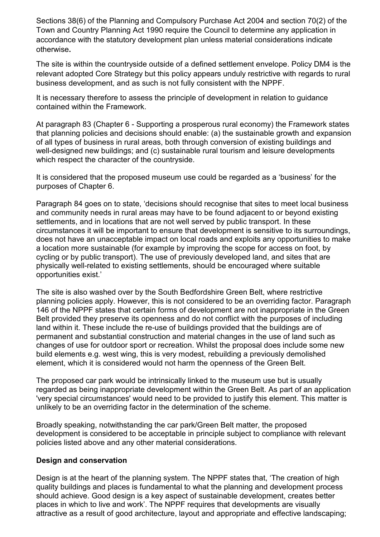Sections 38(6) of the Planning and Compulsory Purchase Act 2004 and section 70(2) of the Town and Country Planning Act 1990 require the Council to determine any application in accordance with the statutory development plan unless material considerations indicate otherwise**.**

The site is within the countryside outside of a defined settlement envelope. Policy DM4 is the relevant adopted Core Strategy but this policy appears unduly restrictive with regards to rural business development, and as such is not fully consistent with the NPPF.

It is necessary therefore to assess the principle of development in relation to guidance contained within the Framework.

At paragraph 83 (Chapter 6 - Supporting a prosperous rural economy) the Framework states that planning policies and decisions should enable: (a) the sustainable growth and expansion of all types of business in rural areas, both through conversion of existing buildings and well-designed new buildings; and (c) sustainable rural tourism and leisure developments which respect the character of the countryside.

It is considered that the proposed museum use could be regarded as a 'business' for the purposes of Chapter 6.

Paragraph 84 goes on to state, 'decisions should recognise that sites to meet local business and community needs in rural areas may have to be found adjacent to or beyond existing settlements, and in locations that are not well served by public transport. In these circumstances it will be important to ensure that development is sensitive to its surroundings, does not have an unacceptable impact on local roads and exploits any opportunities to make a location more sustainable (for example by improving the scope for access on foot, by cycling or by public transport). The use of previously developed land, and sites that are physically well-related to existing settlements, should be encouraged where suitable opportunities exist.'

The site is also washed over by the South Bedfordshire Green Belt, where restrictive planning policies apply. However, this is not considered to be an overriding factor. Paragraph 146 of the NPPF states that certain forms of development are not inappropriate in the Green Belt provided they preserve its openness and do not conflict with the purposes of including land within it. These include the re-use of buildings provided that the buildings are of permanent and substantial construction and material changes in the use of land such as changes of use for outdoor sport or recreation. Whilst the proposal does include some new build elements e.g. west wing, this is very modest, rebuilding a previously demolished element, which it is considered would not harm the openness of the Green Belt.

The proposed car park would be intrinsically linked to the museum use but is usually regarded as being inappropriate development within the Green Belt. As part of an application 'very special circumstances' would need to be provided to justify this element. This matter is unlikely to be an overriding factor in the determination of the scheme.

Broadly speaking, notwithstanding the car park/Green Belt matter, the proposed development is considered to be acceptable in principle subject to compliance with relevant policies listed above and any other material considerations.

### **Design and conservation**

Design is at the heart of the planning system. The NPPF states that, 'The creation of high quality buildings and places is fundamental to what the planning and development process should achieve. Good design is a key aspect of sustainable development, creates better places in which to live and work'. The NPPF requires that developments are visually attractive as a result of good architecture, layout and appropriate and effective landscaping;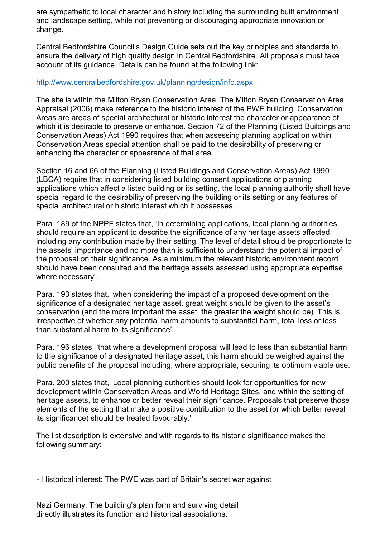are sympathetic to local character and history including the surrounding built environment and landscape setting, while not preventing or discouraging appropriate innovation or change.

Central Bedfordshire Council's Design Guide sets out the key principles and standards to ensure the delivery of high quality design in Central Bedfordshire. All proposals must take account of its guidance. Details can be found at the following link:

## http://www.centralbedfordshire.gov.uk/planning/design/info.aspx

The site is within the Milton Bryan Conservation Area. The Milton Bryan Conservation Area Appraisal (2006) make reference to the historic interest of the PWE building. Conservation Areas are areas of special architectural or historic interest the character or appearance of which it is desirable to preserve or enhance. Section 72 of the Planning (Listed Buildings and Conservation Areas) Act 1990 requires that when assessing planning application within Conservation Areas special attention shall be paid to the desirability of preserving or enhancing the character or appearance of that area.

Section 16 and 66 of the Planning (Listed Buildings and Conservation Areas) Act 1990 (LBCA) require that in considering listed building consent applications or planning applications which affect a listed building or its setting, the local planning authority shall have special regard to the desirability of preserving the building or its setting or any features of special architectural or historic interest which it possesses.

Para. 189 of the NPPF states that, 'In determining applications, local planning authorities should require an applicant to describe the significance of any heritage assets affected, including any contribution made by their setting. The level of detail should be proportionate to the assets' importance and no more than is sufficient to understand the potential impact of the proposal on their significance. As a minimum the relevant historic environment record should have been consulted and the heritage assets assessed using appropriate expertise where necessary'.

Para. 193 states that, 'when considering the impact of a proposed development on the significance of a designated heritage asset, great weight should be given to the asset's conservation (and the more important the asset, the greater the weight should be). This is irrespective of whether any potential harm amounts to substantial harm, total loss or less than substantial harm to its significance'.

Para. 196 states, 'that where a development proposal will lead to less than substantial harm to the significance of a designated heritage asset, this harm should be weighed against the public benefits of the proposal including, where appropriate, securing its optimum viable use.

Para. 200 states that, 'Local planning authorities should look for opportunities for new development within Conservation Areas and World Heritage Sites, and within the setting of heritage assets, to enhance or better reveal their significance. Proposals that preserve those elements of the setting that make a positive contribution to the asset (or which better reveal its significance) should be treated favourably.'

The list description is extensive and with regards to its historic significance makes the following summary:

Nazi Germany. The building's plan form and surviving detail directly illustrates its function and historical associations.

<sup>∗</sup> Historical interest: The PWE was part of Britain's secret war against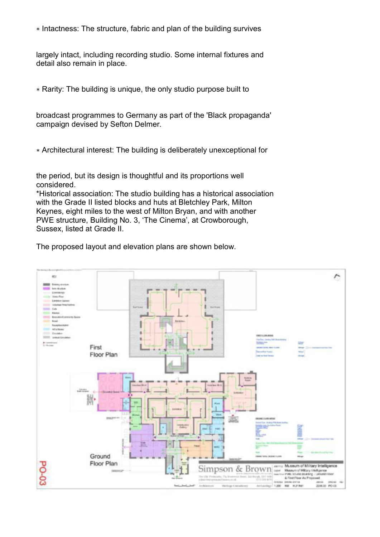∗ Intactness: The structure, fabric and plan of the building survives

largely intact, including recording studio. Some internal fixtures and detail also remain in place.

∗ Rarity: The building is unique, the only studio purpose built to

broadcast programmes to Germany as part of the 'Black propaganda' campaign devised by Sefton Delmer.

∗ Architectural interest: The building is deliberately unexceptional for

the period, but its design is thoughtful and its proportions well considered.

\*Historical association: The studio building has a historical association with the Grade II listed blocks and huts at Bletchley Park, Milton Keynes, eight miles to the west of Milton Bryan, and with another PWE structure, Building No. 3, 'The Cinema', at Crowborough, Sussex, listed at Grade II.

The proposed layout and elevation plans are shown below.

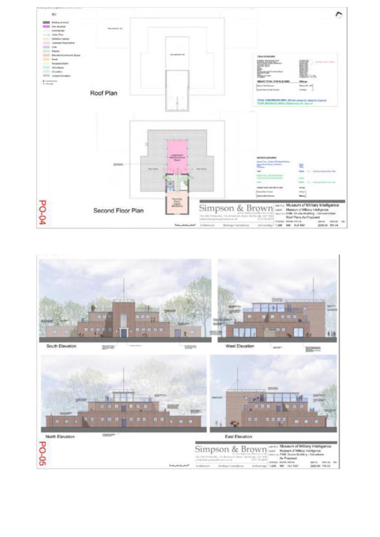

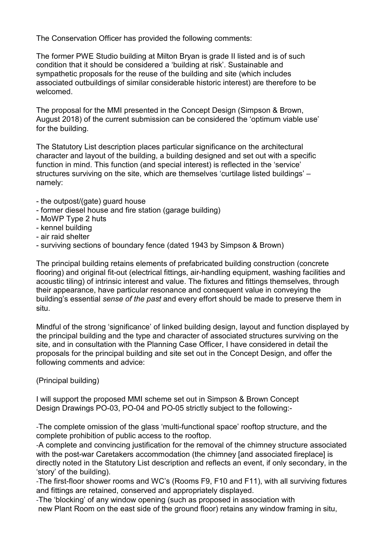The Conservation Officer has provided the following comments:

The former PWE Studio building at Milton Bryan is grade II listed and is of such condition that it should be considered a 'building at risk'. Sustainable and sympathetic proposals for the reuse of the building and site (which includes associated outbuildings of similar considerable historic interest) are therefore to be welcomed.

The proposal for the MMI presented in the Concept Design (Simpson & Brown, August 2018) of the current submission can be considered the 'optimum viable use' for the building.

The Statutory List description places particular significance on the architectural character and layout of the building, a building designed and set out with a specific function in mind. This function (and special interest) is reflected in the 'service' structures surviving on the site, which are themselves 'curtilage listed buildings' – namely:

- the outpost/(gate) guard house
- former diesel house and fire station (garage building)
- MoWP Type 2 huts
- kennel building
- air raid shelter
- surviving sections of boundary fence (dated 1943 by Simpson & Brown)

The principal building retains elements of prefabricated building construction (concrete flooring) and original fit-out (electrical fittings, air-handling equipment, washing facilities and acoustic tiling) of intrinsic interest and value. The fixtures and fittings themselves, through their appearance, have particular resonance and consequent value in conveying the building's essential *sense of the past* and every effort should be made to preserve them in situ.

Mindful of the strong 'significance' of linked building design, layout and function displayed by the principal building and the type and character of associated structures surviving on the site, and in consultation with the Planning Case Officer, I have considered in detail the proposals for the principal building and site set out in the Concept Design, and offer the following comments and advice:

(Principal building)

I will support the proposed MMI scheme set out in Simpson & Brown Concept Design Drawings PO-03, PO-04 and PO-05 strictly subject to the following:-

-The complete omission of the glass 'multi-functional space' rooftop structure, and the complete prohibition of public access to the rooftop.

-A complete and convincing justification for the removal of the chimney structure associated with the post-war Caretakers accommodation (the chimney [and associated fireplace] is directly noted in the Statutory List description and reflects an event, if only secondary, in the 'story' of the building).

-The first-floor shower rooms and WC's (Rooms F9, F10 and F11), with all surviving fixtures and fittings are retained, conserved and appropriately displayed.

-The 'blocking' of any window opening (such as proposed in association with

new Plant Room on the east side of the ground floor) retains any window framing in situ,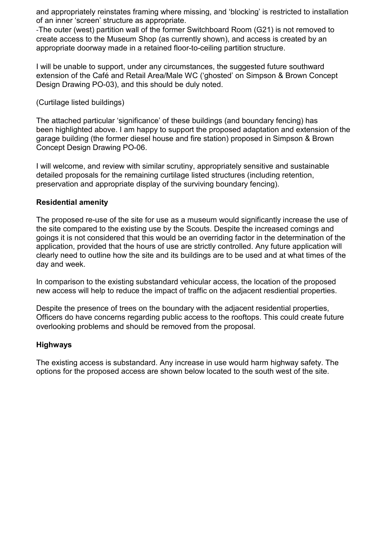and appropriately reinstates framing where missing, and 'blocking' is restricted to installation of an inner 'screen' structure as appropriate.

-The outer (west) partition wall of the former Switchboard Room (G21) is not removed to create access to the Museum Shop (as currently shown), and access is created by an appropriate doorway made in a retained floor-to-ceiling partition structure.

I will be unable to support, under any circumstances, the suggested future southward extension of the Café and Retail Area/Male WC ('ghosted' on Simpson & Brown Concept Design Drawing PO-03), and this should be duly noted.

(Curtilage listed buildings)

The attached particular 'significance' of these buildings (and boundary fencing) has been highlighted above. I am happy to support the proposed adaptation and extension of the garage building (the former diesel house and fire station) proposed in Simpson & Brown Concept Design Drawing PO-06.

I will welcome, and review with similar scrutiny, appropriately sensitive and sustainable detailed proposals for the remaining curtilage listed structures (including retention, preservation and appropriate display of the surviving boundary fencing).

#### **Residential amenity**

The proposed re-use of the site for use as a museum would significantly increase the use of the site compared to the existing use by the Scouts. Despite the increased comings and goings it is not considered that this would be an overriding factor in the determination of the application, provided that the hours of use are strictly controlled. Any future application will clearly need to outline how the site and its buildings are to be used and at what times of the day and week.

In comparison to the existing substandard vehicular access, the location of the proposed new access will help to reduce the impact of traffic on the adjacent resdiential properties.

Despite the presence of trees on the boundary with the adjacent residential properties, Officers do have concerns regarding public access to the rooftops. This could create future overlooking problems and should be removed from the proposal.

#### **Highways**

The existing access is substandard. Any increase in use would harm highway safety. The options for the proposed access are shown below located to the south west of the site.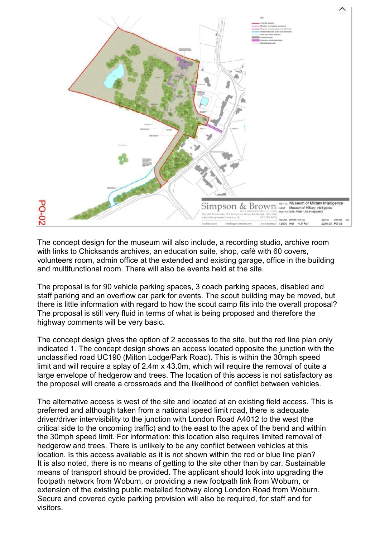

The concept design for the museum will also include, a recording studio, archive room with links to Chicksands archives, an education suite, shop, café with 60 covers, volunteers room, admin office at the extended and existing garage, office in the building and multifunctional room. There will also be events held at the site.

The proposal is for 90 vehicle parking spaces, 3 coach parking spaces, disabled and staff parking and an overflow car park for events. The scout building may be moved, but there is little information with regard to how the scout camp fits into the overall proposal? The proposal is still very fluid in terms of what is being proposed and therefore the highway comments will be very basic.

The concept design gives the option of 2 accesses to the site, but the red line plan only indicated 1. The concept design shows an access located opposite the junction with the unclassified road UC190 (Milton Lodge/Park Road). This is within the 30mph speed limit and will require a splay of 2.4m x 43.0m, which will require the removal of quite a large envelope of hedgerow and trees. The location of this access is not satisfactory as the proposal will create a crossroads and the likelihood of conflict between vehicles.

The alternative access is west of the site and located at an existing field access. This is preferred and although taken from a national speed limit road, there is adequate driver/driver intervisibility to the junction with London Road A4012 to the west (the critical side to the oncoming traffic) and to the east to the apex of the bend and within the 30mph speed limit. For information: this location also requires limited removal of hedgerow and trees. There is unlikely to be any conflict between vehicles at this location. Is this access available as it is not shown within the red or blue line plan? It is also noted, there is no means of getting to the site other than by car. Sustainable means of transport should be provided. The applicant should look into upgrading the footpath network from Woburn, or providing a new footpath link from Woburn, or extension of the existing public metalled footway along London Road from Woburn. Secure and covered cycle parking provision will also be required, for staff and for visitors.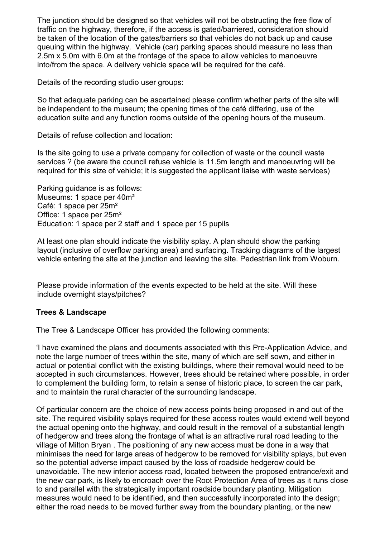The junction should be designed so that vehicles will not be obstructing the free flow of traffic on the highway, therefore, if the access is gated/barriered, consideration should be taken of the location of the gates/barriers so that vehicles do not back up and cause queuing within the highway. Vehicle (car) parking spaces should measure no less than 2.5m x 5.0m with 6.0m at the frontage of the space to allow vehicles to manoeuvre into/from the space. A delivery vehicle space will be required for the café.

Details of the recording studio user groups:

So that adequate parking can be ascertained please confirm whether parts of the site will be independent to the museum; the opening times of the café differing, use of the education suite and any function rooms outside of the opening hours of the museum.

Details of refuse collection and location:

Is the site going to use a private company for collection of waste or the council waste services ? (be aware the council refuse vehicle is 11.5m length and manoeuvring will be required for this size of vehicle; it is suggested the applicant liaise with waste services)

Parking guidance is as follows: Museums: 1 space per 40m² Café: 1 space per 25m² Office: 1 space per 25m² Education: 1 space per 2 staff and 1 space per 15 pupils

At least one plan should indicate the visibility splay. A plan should show the parking layout (inclusive of overflow parking area) and surfacing. Tracking diagrams of the largest vehicle entering the site at the junction and leaving the site. Pedestrian link from Woburn.

Please provide information of the events expected to be held at the site. Will these include overnight stays/pitches?

### **Trees & Landscape**

The Tree & Landscape Officer has provided the following comments:

'I have examined the plans and documents associated with this Pre-Application Advice, and note the large number of trees within the site, many of which are self sown, and either in actual or potential conflict with the existing buildings, where their removal would need to be accepted in such circumstances. However, trees should be retained where possible, in order to complement the building form, to retain a sense of historic place, to screen the car park, and to maintain the rural character of the surrounding landscape.

Of particular concern are the choice of new access points being proposed in and out of the site. The required visibility splays required for these access routes would extend well beyond the actual opening onto the highway, and could result in the removal of a substantial length of hedgerow and trees along the frontage of what is an attractive rural road leading to the village of Milton Bryan . The positioning of any new access must be done in a way that minimises the need for large areas of hedgerow to be removed for visibility splays, but even so the potential adverse impact caused by the loss of roadside hedgerow could be unavoidable. The new interior access road, located between the proposed entrance/exit and the new car park, is likely to encroach over the Root Protection Area of trees as it runs close to and parallel with the strategically important roadside boundary planting. Mitigation measures would need to be identified, and then successfully incorporated into the design; either the road needs to be moved further away from the boundary planting, or the new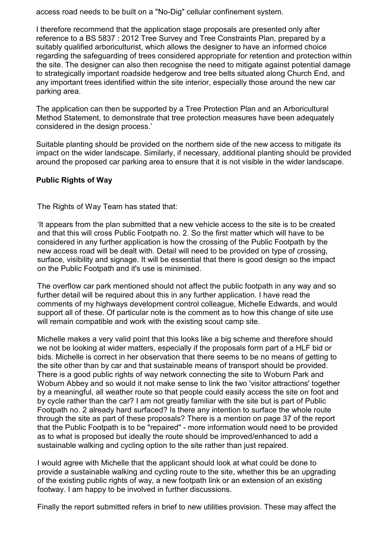access road needs to be built on a "No-Dig" cellular confinement system.

I therefore recommend that the application stage proposals are presented only after reference to a BS 5837 : 2012 Tree Survey and Tree Constraints Plan, prepared by a suitably qualified arboriculturist, which allows the designer to have an informed choice regarding the safeguarding of trees considered appropriate for retention and protection within the site. The designer can also then recognise the need to mitigate against potential damage to strategically important roadside hedgerow and tree belts situated along Church End, and any important trees identified within the site interior, especially those around the new car parking area.

The application can then be supported by a Tree Protection Plan and an Arboricultural Method Statement, to demonstrate that tree protection measures have been adequately considered in the design process.'

Suitable planting should be provided on the northern side of the new access to mitigate its impact on the wider landscape. Similarly, if necessary, additional planting should be provided around the proposed car parking area to ensure that it is not visible in the wider landscape.

### **Public Rights of Way**

The Rights of Way Team has stated that:

'It appears from the plan submitted that a new vehicle access to the site is to be created and that this will cross Public Footpath no. 2. So the first matter which will have to be considered in any further application is how the crossing of the Public Footpath by the new access road will be dealt with. Detail will need to be provided on type of crossing, surface, visibility and signage. It will be essential that there is good design so the impact on the Public Footpath and it's use is minimised.

The overflow car park mentioned should not affect the public footpath in any way and so further detail will be required about this in any further application. I have read the comments of my highways development control colleague, Michelle Edwards, and would support all of these. Of particular note is the comment as to how this change of site use will remain compatible and work with the existing scout camp site.

Michelle makes a very valid point that this looks like a big scheme and therefore should we not be looking at wider matters, especially if the proposals form part of a HLF bid or bids. Michelle is correct in her observation that there seems to be no means of getting to the site other than by car and that sustainable means of transport should be provided. There is a good public rights of way network connecting the site to Woburn Park and Woburn Abbey and so would it not make sense to link the two 'visitor attractions' together by a meaningful, all weather route so that people could easily access the site on foot and by cycle rather than the car? I am not greatly familiar with the site but is part of Public Footpath no. 2 already hard surfaced? Is there any intention to surface the whole route through the site as part of these proposals? There is a mention on page 37 of the report that the Public Footpath is to be "repaired" - more information would need to be provided as to what is proposed but ideally the route should be improved/enhanced to add a sustainable walking and cycling option to the site rather than just repaired.

I would agree with Michelle that the applicant should look at what could be done to provide a sustainable walking and cycling route to the site, whether this be an upgrading of the existing public rights of way, a new footpath link or an extension of an existing footway. I am happy to be involved in further discussions.

Finally the report submitted refers in brief to new utilities provision. These may affect the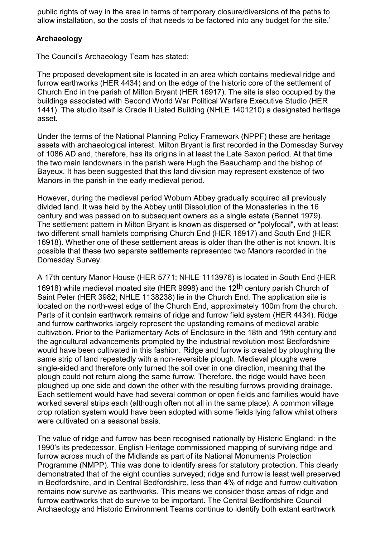public rights of way in the area in terms of temporary closure/diversions of the paths to allow installation, so the costs of that needs to be factored into any budget for the site.'

## **Archaeology**

The Council's Archaeology Team has stated:

The proposed development site is located in an area which contains medieval ridge and furrow earthworks (HER 4434) and on the edge of the historic core of the settlement of Church End in the parish of Milton Bryant (HER 16917). The site is also occupied by the buildings associated with Second World War Political Warfare Executive Studio (HER 1441). The studio itself is Grade II Listed Building (NHLE 1401210) a designated heritage asset.

Under the terms of the National Planning Policy Framework (NPPF) these are heritage assets with archaeological interest. Milton Bryant is first recorded in the Domesday Survey of 1086 AD and, therefore, has its origins in at least the Late Saxon period. At that time the two main landowners in the parish were Hugh the Beauchamp and the bishop of Bayeux. It has been suggested that this land division may represent existence of two Manors in the parish in the early medieval period.

However, during the medieval period Woburn Abbey gradually acquired all previously divided land. It was held by the Abbey until Dissolution of the Monasteries in the 16 century and was passed on to subsequent owners as a single estate (Bennet 1979). The settlement pattern in Milton Bryant is known as dispersed or "polyfocal", with at least two different small hamlets comprising Church End (HER 16917) and South End (HER 16918). Whether one of these settlement areas is older than the other is not known. It is possible that these two separate settlements represented two Manors recorded in the Domesday Survey.

A 17th century Manor House (HER 5771; NHLE 1113976) is located in South End (HER 16918) while medieval moated site (HER 9998) and the 12<sup>th</sup> century parish Church of Saint Peter (HER 3982; NHLE 1138238) lie in the Church End. The application site is located on the north-west edge of the Church End, approximately 100m from the church. Parts of it contain earthwork remains of ridge and furrow field system (HER 4434). Ridge and furrow earthworks largely represent the upstanding remains of medieval arable cultivation. Prior to the Parliamentary Acts of Enclosure in the 18th and 19th century and the agricultural advancements prompted by the industrial revolution most Bedfordshire would have been cultivated in this fashion. Ridge and furrow is created by ploughing the same strip of land repeatedly with a non-reversible plough. Medieval ploughs were single-sided and therefore only turned the soil over in one direction, meaning that the plough could not return along the same furrow. Therefore. the ridge would have been ploughed up one side and down the other with the resulting furrows providing drainage. Each settlement would have had several common or open fields and families would have worked several strips each (although often not all in the same place). A common village crop rotation system would have been adopted with some fields lying fallow whilst others were cultivated on a seasonal basis.

The value of ridge and furrow has been recognised nationally by Historic England: in the 1990's its predecessor, English Heritage commissioned mapping of surviving ridge and furrow across much of the Midlands as part of its National Monuments Protection Programme (NMPP). This was done to identify areas for statutory protection. This clearly demonstrated that of the eight counties surveyed; ridge and furrow is least well preserved in Bedfordshire, and in Central Bedfordshire, less than 4% of ridge and furrow cultivation remains now survive as earthworks. This means we consider those areas of ridge and furrow earthworks that do survive to be important. The Central Bedfordshire Council Archaeology and Historic Environment Teams continue to identify both extant earthwork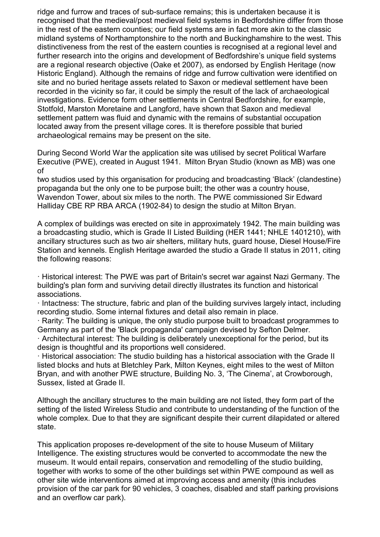ridge and furrow and traces of sub-surface remains; this is undertaken because it is recognised that the medieval/post medieval field systems in Bedfordshire differ from those in the rest of the eastern counties; our field systems are in fact more akin to the classic midland systems of Northamptonshire to the north and Buckinghamshire to the west. This distinctiveness from the rest of the eastern counties is recognised at a regional level and further research into the origins and development of Bedfordshire's unique field systems are a regional research objective (Oake et 2007), as endorsed by English Heritage (now Historic England). Although the remains of ridge and furrow cultivation were identified on site and no buried heritage assets related to Saxon or medieval settlement have been recorded in the vicinity so far, it could be simply the result of the lack of archaeological investigations. Evidence form other settlements in Central Bedfordshire, for example, Stotfold, Marston Moretaine and Langford, have shown that Saxon and medieval settlement pattern was fluid and dynamic with the remains of substantial occupation located away from the present village cores. It is therefore possible that buried archaeological remains may be present on the site.

During Second World War the application site was utilised by secret Political Warfare Executive (PWE), created in August 1941. Milton Bryan Studio (known as MB) was one of

two studios used by this organisation for producing and broadcasting 'Black' (clandestine) propaganda but the only one to be purpose built; the other was a country house, Wavendon Tower, about six miles to the north. The PWE commissioned Sir Edward Halliday CBE RP RBA ARCA (1902-84) to design the studio at Milton Bryan.

A complex of buildings was erected on site in approximately 1942. The main building was a broadcasting studio, which is Grade II Listed Building (HER 1441; NHLE 1401210), with ancillary structures such as two air shelters, military huts, guard house, Diesel House/Fire Station and kennels. English Heritage awarded the studio a Grade II status in 2011, citing the following reasons:

· Historical interest: The PWE was part of Britain's secret war against Nazi Germany. The building's plan form and surviving detail directly illustrates its function and historical associations.

· Intactness: The structure, fabric and plan of the building survives largely intact, including recording studio. Some internal fixtures and detail also remain in place.

· Rarity: The building is unique, the only studio purpose built to broadcast programmes to Germany as part of the 'Black propaganda' campaign devised by Sefton Delmer.

· Architectural interest: The building is deliberately unexceptional for the period, but its design is thoughtful and its proportions well considered.

· Historical association: The studio building has a historical association with the Grade II listed blocks and huts at Bletchley Park, Milton Keynes, eight miles to the west of Milton Bryan, and with another PWE structure, Building No. 3, 'The Cinema', at Crowborough, Sussex, listed at Grade II.

Although the ancillary structures to the main building are not listed, they form part of the setting of the listed Wireless Studio and contribute to understanding of the function of the whole complex. Due to that they are significant despite their current dilapidated or altered state.

This application proposes re-development of the site to house Museum of Military Intelligence. The existing structures would be converted to accommodate the new the museum. It would entail repairs, conservation and remodelling of the studio building, together with works to some of the other buildings set within PWE compound as well as other site wide interventions aimed at improving access and amenity (this includes provision of the car park for 90 vehicles, 3 coaches, disabled and staff parking provisions and an overflow car park).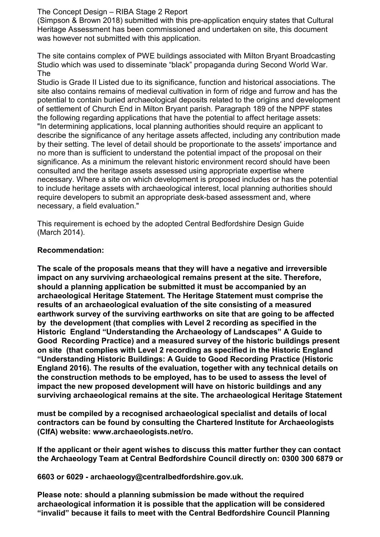### The Concept Design – RIBA Stage 2 Report

(Simpson & Brown 2018) submitted with this pre-application enquiry states that Cultural Heritage Assessment has been commissioned and undertaken on site, this document was however not submitted with this application.

The site contains complex of PWE buildings associated with Milton Bryant Broadcasting Studio which was used to disseminate "black" propaganda during Second World War. The

Studio is Grade II Listed due to its significance, function and historical associations. The site also contains remains of medieval cultivation in form of ridge and furrow and has the potential to contain buried archaeological deposits related to the origins and development of settlement of Church End in Milton Bryant parish. Paragraph 189 of the NPPF states the following regarding applications that have the potential to affect heritage assets: "In determining applications, local planning authorities should require an applicant to describe the significance of any heritage assets affected, including any contribution made by their setting. The level of detail should be proportionate to the assets' importance and no more than is sufficient to understand the potential impact of the proposal on their significance. As a minimum the relevant historic environment record should have been consulted and the heritage assets assessed using appropriate expertise where necessary. Where a site on which development is proposed includes or has the potential to include heritage assets with archaeological interest, local planning authorities should require developers to submit an appropriate desk-based assessment and, where necessary, a field evaluation."

This requirement is echoed by the adopted Central Bedfordshire Design Guide (March 2014).

#### **Recommendation:**

**The scale of the proposals means that they will have a negative and irreversible impact on any surviving archaeological remains present at the site. Therefore, should a planning application be submitted it must be accompanied by an archaeological Heritage Statement. The Heritage Statement must comprise the results of an archaeological evaluation of the site consisting of a measured earthwork survey of the surviving earthworks on site that are going to be affected by the development (that complies with Level 2 recording as specified in the Historic England "Understanding the Archaeology of Landscapes" A Guide to Good Recording Practice) and a measured survey of the historic buildings present on site (that complies with Level 2 recording as specified in the Historic England "Understanding Historic Buildings: A Guide to Good Recording Practice (Historic England 2016). The results of the evaluation, together with any technical details on the construction methods to be employed, has to be used to assess the level of impact the new proposed development will have on historic buildings and any surviving archaeological remains at the site. The archaeological Heritage Statement**

**must be compiled by a recognised archaeological specialist and details of local contractors can be found by consulting the Chartered Institute for Archaeologists (CIfA) website: www.archaeologists.net/ro.**

**If the applicant or their agent wishes to discuss this matter further they can contact the Archaeology Team at Central Bedfordshire Council directly on: 0300 300 6879 or**

**6603 or 6029 - archaeology@centralbedfordshire.gov.uk.**

**Please note: should a planning submission be made without the required archaeological information it is possible that the application will be considered "invalid" because it fails to meet with the Central Bedfordshire Council Planning**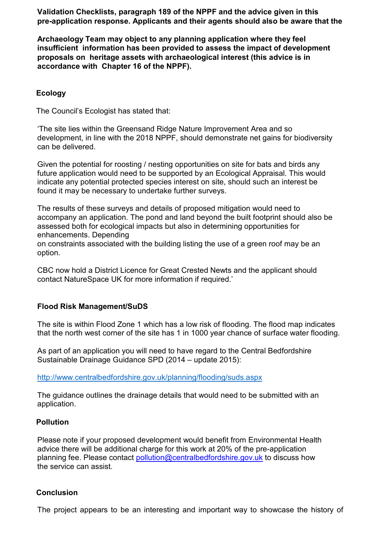**Validation Checklists, paragraph 189 of the NPPF and the advice given in this pre-application response. Applicants and their agents should also be aware that the**

**Archaeology Team may object to any planning application where they feel insufficient information has been provided to assess the impact of development proposals on heritage assets with archaeological interest (this advice is in accordance with Chapter 16 of the NPPF).**

### **Ecology**

The Council's Ecologist has stated that:

'The site lies within the Greensand Ridge Nature Improvement Area and so development, in line with the 2018 NPPF, should demonstrate net gains for biodiversity can be delivered.

Given the potential for roosting / nesting opportunities on site for bats and birds any future application would need to be supported by an Ecological Appraisal. This would indicate any potential protected species interest on site, should such an interest be found it may be necessary to undertake further surveys.

The results of these surveys and details of proposed mitigation would need to accompany an application. The pond and land beyond the built footprint should also be assessed both for ecological impacts but also in determining opportunities for enhancements. Depending

on constraints associated with the building listing the use of a green roof may be an option.

CBC now hold a District Licence for Great Crested Newts and the applicant should contact NatureSpace UK for more information if required.'

#### **Flood Risk Management/SuDS**

The site is within Flood Zone 1 which has a low risk of flooding. The flood map indicates that the north west corner of the site has 1 in 1000 year chance of surface water flooding.

As part of an application you will need to have regard to the Central Bedfordshire Sustainable Drainage Guidance SPD (2014 – update 2015):

http://www.centralbedfordshire.gov.uk/planning/flooding/suds.aspx

The guidance outlines the drainage details that would need to be submitted with an application.

#### **Pollution**

Please note if your proposed development would benefit from Environmental Health advice there will be additional charge for this work at 20% of the pre-application planning fee. Please contact pollution@centralbedfordshire.gov.uk to discuss how the service can assist.

#### **Conclusion**

The project appears to be an interesting and important way to showcase the history of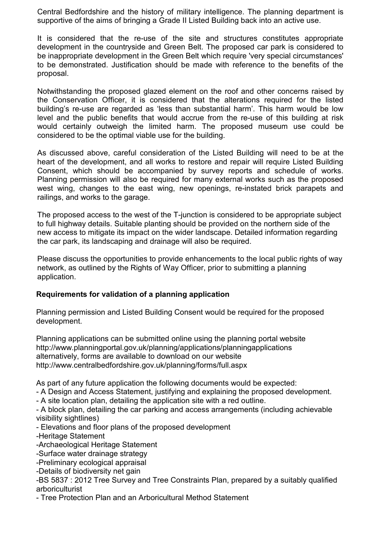Central Bedfordshire and the history of military intelligence. The planning department is supportive of the aims of bringing a Grade II Listed Building back into an active use.

It is considered that the re-use of the site and structures constitutes appropriate development in the countryside and Green Belt. The proposed car park is considered to be inappropriate development in the Green Belt which require 'very special circumstances' to be demonstrated. Justification should be made with reference to the benefits of the proposal.

Notwithstanding the proposed glazed element on the roof and other concerns raised by the Conservation Officer, it is considered that the alterations required for the listed building's re-use are regarded as 'less than substantial harm'. This harm would be low level and the public benefits that would accrue from the re-use of this building at risk would certainly outweigh the limited harm. The proposed museum use could be considered to be the optimal viable use for the building.

As discussed above, careful consideration of the Listed Building will need to be at the heart of the development, and all works to restore and repair will require Listed Building Consent, which should be accompanied by survey reports and schedule of works. Planning permission will also be required for many external works such as the proposed west wing, changes to the east wing, new openings, re-instated brick parapets and railings, and works to the garage.

The proposed access to the west of the T-junction is considered to be appropriate subject to full highway details. Suitable planting should be provided on the northern side of the new access to mitigate its impact on the wider landscape. Detailed information regarding the car park, its landscaping and drainage will also be required.

Please discuss the opportunities to provide enhancements to the local public rights of way network, as outlined by the Rights of Way Officer, prior to submitting a planning application.

### **Requirements for validation of a planning application**

Planning permission and Listed Building Consent would be required for the proposed development.

Planning applications can be submitted online using the planning portal website http://www.planningportal.gov.uk/planning/applications/planningapplications alternatively, forms are available to download on our website http://www.centralbedfordshire.gov.uk/planning/forms/full.aspx

As part of any future application the following documents would be expected:

- A Design and Access Statement, justifying and explaining the proposed development.
- A site location plan, detailing the application site with a red outline.

- A block plan, detailing the car parking and access arrangements (including achievable visibility sightlines)

- Elevations and floor plans of the proposed development

-Heritage Statement

-Archaeological Heritage Statement

-Surface water drainage strategy

-Preliminary ecological appraisal

-Details of biodiversity net gain

-BS 5837 : 2012 Tree Survey and Tree Constraints Plan, prepared by a suitably qualified arboriculturist

- Tree Protection Plan and an Arboricultural Method Statement